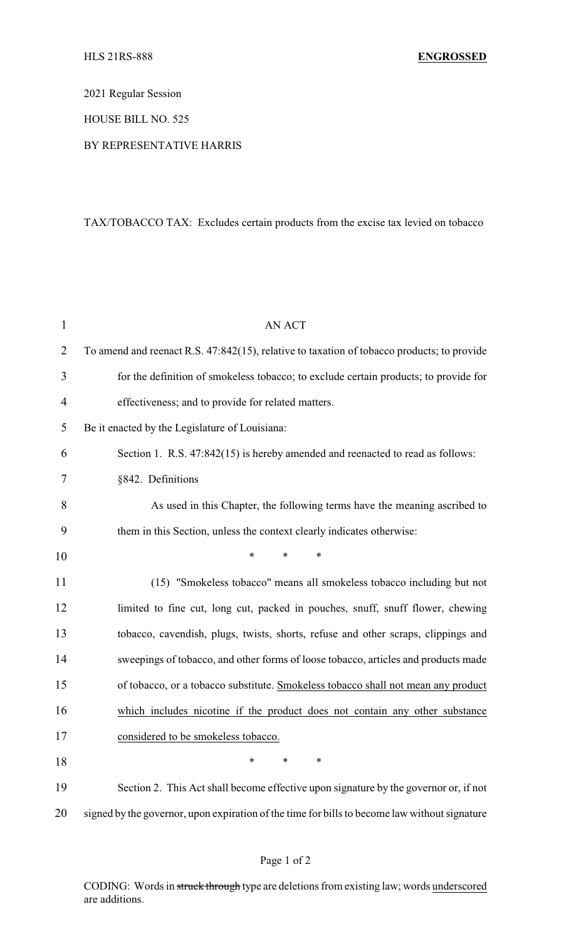2021 Regular Session

HOUSE BILL NO. 525

## BY REPRESENTATIVE HARRIS

## TAX/TOBACCO TAX: Excludes certain products from the excise tax levied on tobacco

| $\mathbf{1}$   | <b>AN ACT</b>                                                                                 |
|----------------|-----------------------------------------------------------------------------------------------|
| $\overline{2}$ | To amend and reenact R.S. 47:842(15), relative to taxation of tobacco products; to provide    |
| 3              | for the definition of smokeless tobacco; to exclude certain products; to provide for          |
| $\overline{4}$ | effectiveness; and to provide for related matters.                                            |
| 5              | Be it enacted by the Legislature of Louisiana:                                                |
| 6              | Section 1. R.S. 47:842(15) is hereby amended and reenacted to read as follows:                |
| 7              | §842. Definitions                                                                             |
| 8              | As used in this Chapter, the following terms have the meaning ascribed to                     |
| 9              | them in this Section, unless the context clearly indicates otherwise:                         |
| 10             | *<br>$\ast$<br>∗                                                                              |
| 11             | (15) "Smokeless tobacco" means all smokeless tobacco including but not                        |
| 12             | limited to fine cut, long cut, packed in pouches, snuff, snuff flower, chewing                |
| 13             | tobacco, cavendish, plugs, twists, shorts, refuse and other scraps, clippings and             |
| 14             | sweepings of tobacco, and other forms of loose tobacco, articles and products made            |
| 15             | of tobacco, or a tobacco substitute. Smokeless tobacco shall not mean any product             |
| 16             | which includes nicotine if the product does not contain any other substance                   |
| 17             | considered to be smokeless tobacco.                                                           |
| 18             | *<br>∗<br>∗                                                                                   |
| 19             | Section 2. This Act shall become effective upon signature by the governor or, if not          |
| 20             | signed by the governor, upon expiration of the time for bills to become law without signature |

CODING: Words in struck through type are deletions from existing law; words underscored are additions.